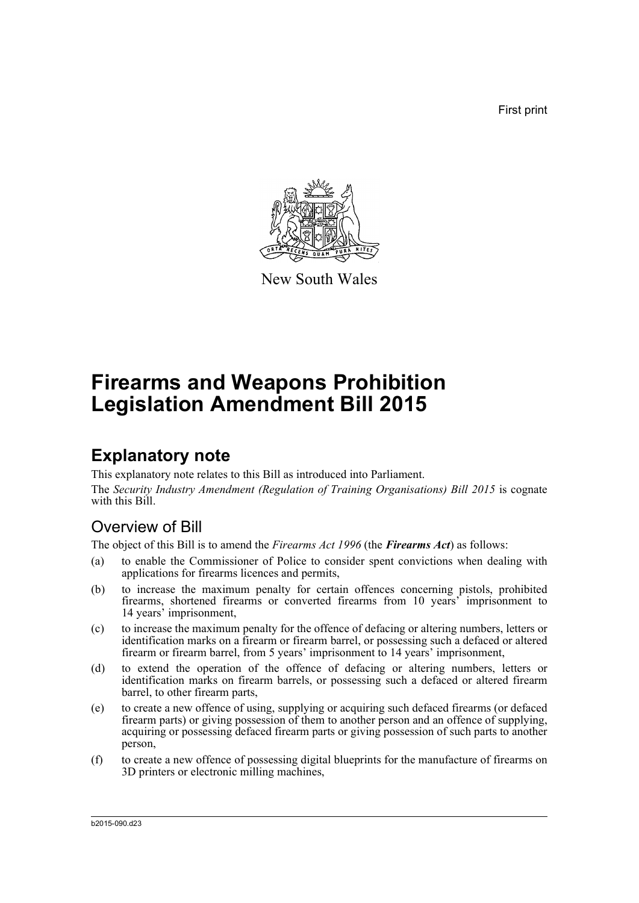First print



New South Wales

# **Firearms and Weapons Prohibition Legislation Amendment Bill 2015**

## **Explanatory note**

This explanatory note relates to this Bill as introduced into Parliament. The *Security Industry Amendment (Regulation of Training Organisations) Bill 2015* is cognate with this Bill.

## Overview of Bill

The object of this Bill is to amend the *Firearms Act 1996* (the *Firearms Act*) as follows:

- (a) to enable the Commissioner of Police to consider spent convictions when dealing with applications for firearms licences and permits,
- (b) to increase the maximum penalty for certain offences concerning pistols, prohibited firearms, shortened firearms or converted firearms from 10 years' imprisonment to 14 years' imprisonment,
- (c) to increase the maximum penalty for the offence of defacing or altering numbers, letters or identification marks on a firearm or firearm barrel, or possessing such a defaced or altered firearm or firearm barrel, from 5 years' imprisonment to 14 years' imprisonment,
- (d) to extend the operation of the offence of defacing or altering numbers, letters or identification marks on firearm barrels, or possessing such a defaced or altered firearm barrel, to other firearm parts,
- (e) to create a new offence of using, supplying or acquiring such defaced firearms (or defaced firearm parts) or giving possession of them to another person and an offence of supplying, acquiring or possessing defaced firearm parts or giving possession of such parts to another person,
- (f) to create a new offence of possessing digital blueprints for the manufacture of firearms on 3D printers or electronic milling machines,

b2015-090.d23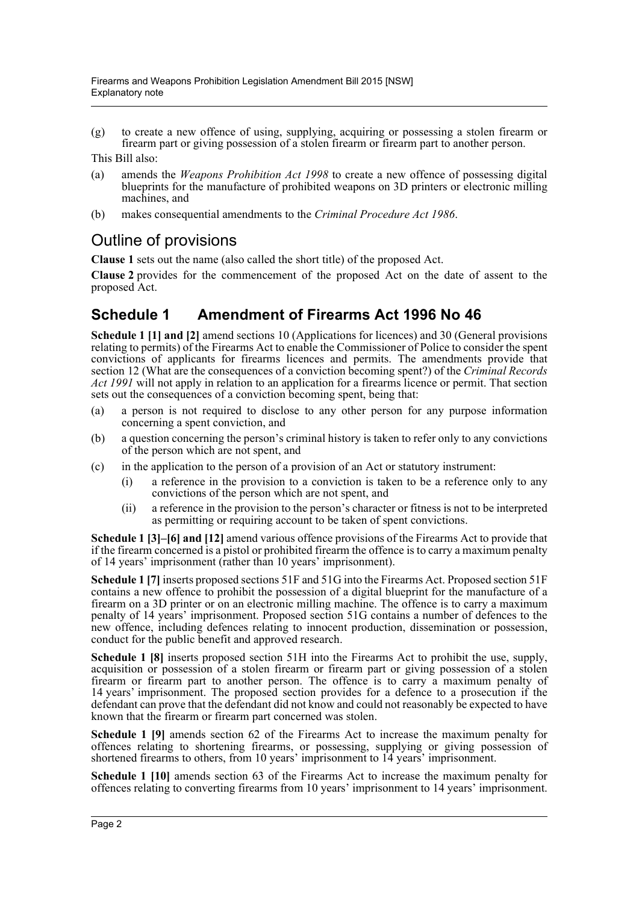(g) to create a new offence of using, supplying, acquiring or possessing a stolen firearm or firearm part or giving possession of a stolen firearm or firearm part to another person.

This Bill also:

- (a) amends the *Weapons Prohibition Act 1998* to create a new offence of possessing digital blueprints for the manufacture of prohibited weapons on 3D printers or electronic milling machines, and
- (b) makes consequential amendments to the *Criminal Procedure Act 1986*.

### Outline of provisions

**Clause 1** sets out the name (also called the short title) of the proposed Act.

**Clause 2** provides for the commencement of the proposed Act on the date of assent to the proposed Act.

### **Schedule 1 Amendment of Firearms Act 1996 No 46**

**Schedule 1 [1] and [2]** amend sections 10 (Applications for licences) and 30 (General provisions relating to permits) of the Firearms Act to enable the Commissioner of Police to consider the spent convictions of applicants for firearms licences and permits. The amendments provide that section 12 (What are the consequences of a conviction becoming spent?) of the *Criminal Records Act 1991* will not apply in relation to an application for a firearms licence or permit. That section sets out the consequences of a conviction becoming spent, being that:

- (a) a person is not required to disclose to any other person for any purpose information concerning a spent conviction, and
- (b) a question concerning the person's criminal history is taken to refer only to any convictions of the person which are not spent, and
- (c) in the application to the person of a provision of an Act or statutory instrument:
	- (i) a reference in the provision to a conviction is taken to be a reference only to any convictions of the person which are not spent, and
	- (ii) a reference in the provision to the person's character or fitness is not to be interpreted as permitting or requiring account to be taken of spent convictions.

**Schedule 1 [3]–[6] and [12]** amend various offence provisions of the Firearms Act to provide that if the firearm concerned is a pistol or prohibited firearm the offence is to carry a maximum penalty of 14 years' imprisonment (rather than 10 years' imprisonment).

**Schedule 1 [7]** inserts proposed sections 51F and 51G into the Firearms Act. Proposed section 51F contains a new offence to prohibit the possession of a digital blueprint for the manufacture of a firearm on a 3D printer or on an electronic milling machine. The offence is to carry a maximum penalty of 14 years' imprisonment. Proposed section 51G contains a number of defences to the new offence, including defences relating to innocent production, dissemination or possession, conduct for the public benefit and approved research.

**Schedule 1 [8]** inserts proposed section 51H into the Firearms Act to prohibit the use, supply, acquisition or possession of a stolen firearm or firearm part or giving possession of a stolen firearm or firearm part to another person. The offence is to carry a maximum penalty of 14 years' imprisonment. The proposed section provides for a defence to a prosecution if the defendant can prove that the defendant did not know and could not reasonably be expected to have known that the firearm or firearm part concerned was stolen.

**Schedule 1 [9]** amends section 62 of the Firearms Act to increase the maximum penalty for offences relating to shortening firearms, or possessing, supplying or giving possession of shortened firearms to others, from 10 years' imprisonment to 14 years' imprisonment.

**Schedule 1 [10]** amends section 63 of the Firearms Act to increase the maximum penalty for offences relating to converting firearms from 10 years' imprisonment to 14 years' imprisonment.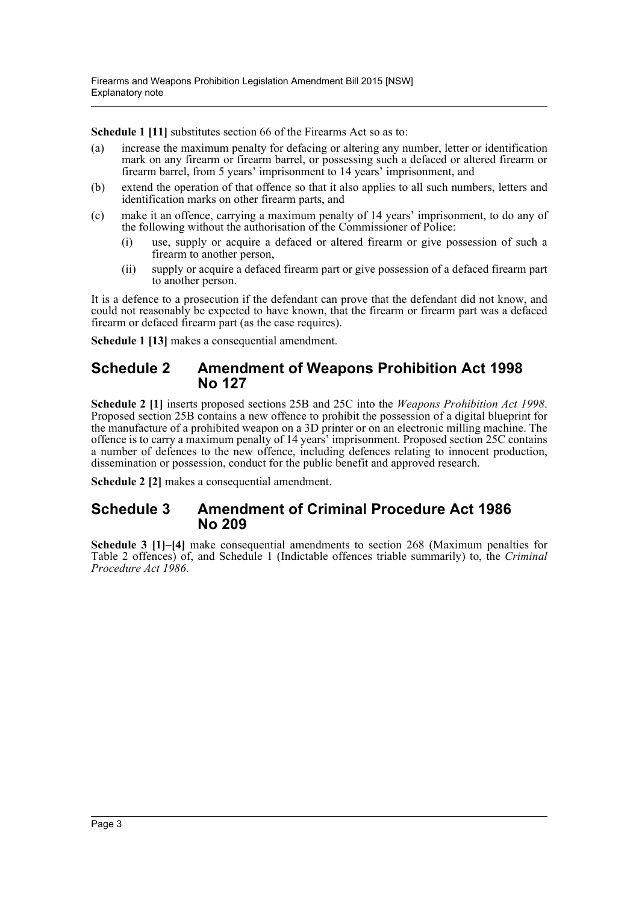**Schedule 1 [11]** substitutes section 66 of the Firearms Act so as to:

- (a) increase the maximum penalty for defacing or altering any number, letter or identification mark on any firearm or firearm barrel, or possessing such a defaced or altered firearm or firearm barrel, from 5 years' imprisonment to 14 years' imprisonment, and
- (b) extend the operation of that offence so that it also applies to all such numbers, letters and identification marks on other firearm parts, and
- (c) make it an offence, carrying a maximum penalty of 14 years' imprisonment, to do any of the following without the authorisation of the Commissioner of Police:
	- (i) use, supply or acquire a defaced or altered firearm or give possession of such a firearm to another person,
	- (ii) supply or acquire a defaced firearm part or give possession of a defaced firearm part to another person.

It is a defence to a prosecution if the defendant can prove that the defendant did not know, and could not reasonably be expected to have known, that the firearm or firearm part was a defaced firearm or defaced firearm part (as the case requires).

**Schedule 1 [13]** makes a consequential amendment.

#### **Schedule 2 Amendment of Weapons Prohibition Act 1998 No 127**

**Schedule 2 [1]** inserts proposed sections 25B and 25C into the *Weapons Prohibition Act 1998*. Proposed section 25B contains a new offence to prohibit the possession of a digital blueprint for the manufacture of a prohibited weapon on a 3D printer or on an electronic milling machine. The offence is to carry a maximum penalty of 14 years' imprisonment. Proposed section 25C contains a number of defences to the new offence, including defences relating to innocent production, dissemination or possession, conduct for the public benefit and approved research.

**Schedule 2 [2]** makes a consequential amendment.

#### **Schedule 3 Amendment of Criminal Procedure Act 1986 No 209**

**Schedule 3 [1]–[4]** make consequential amendments to section 268 (Maximum penalties for Table 2 offences) of, and Schedule 1 (Indictable offences triable summarily) to, the *Criminal Procedure Act 1986*.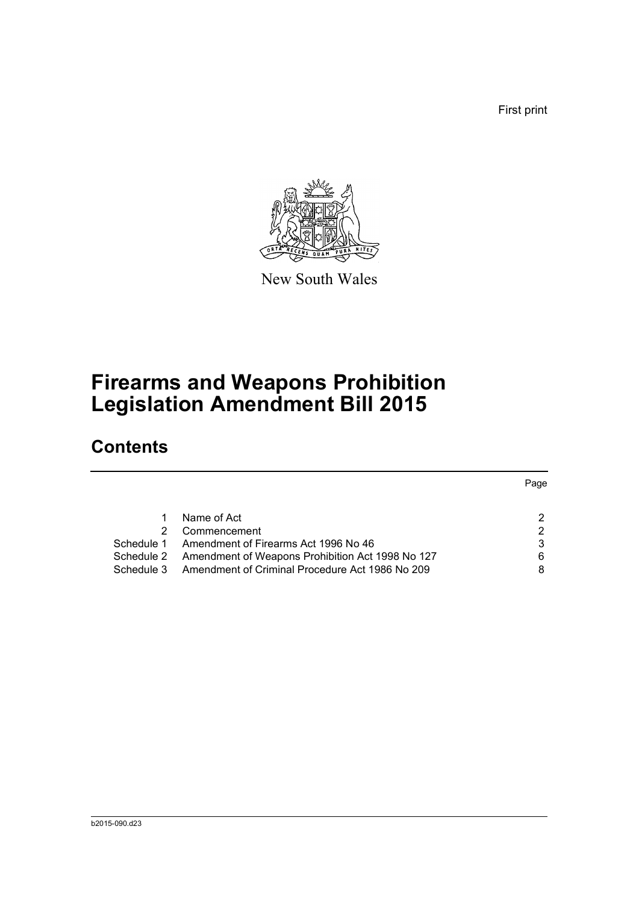First print



New South Wales

# **Firearms and Weapons Prohibition Legislation Amendment Bill 2015**

## **Contents**

|            |                                                  | Page          |
|------------|--------------------------------------------------|---------------|
|            | Name of Act                                      | 2             |
| 2          | Commencement                                     | $\mathcal{P}$ |
| Schedule 1 | Amendment of Firearms Act 1996 No 46             | 3             |
| Schedule 2 | Amendment of Weapons Prohibition Act 1998 No 127 | 6             |
| Schedule 3 | Amendment of Criminal Procedure Act 1986 No 209  | 8             |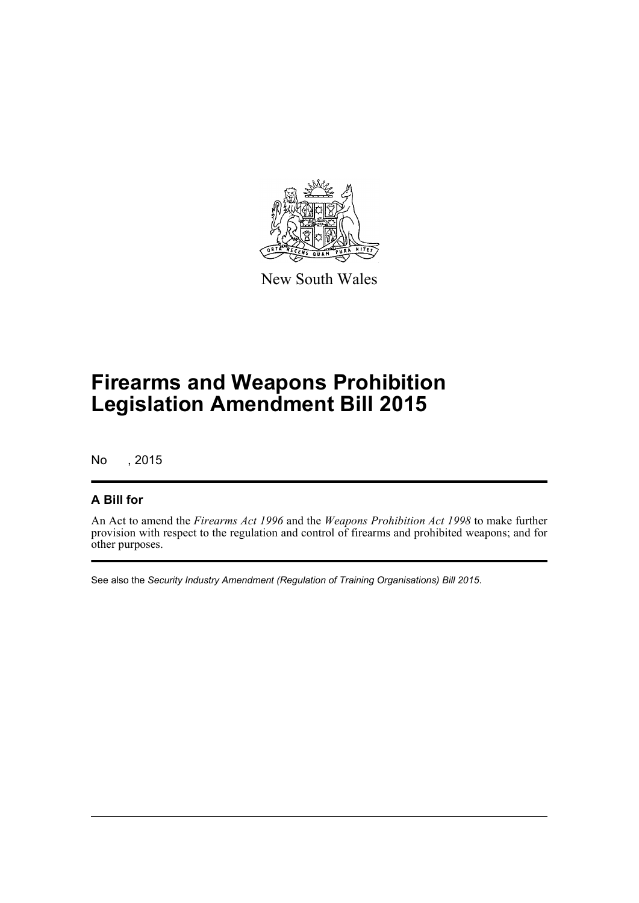

New South Wales

# **Firearms and Weapons Prohibition Legislation Amendment Bill 2015**

No , 2015

#### **A Bill for**

An Act to amend the *Firearms Act 1996* and the *Weapons Prohibition Act 1998* to make further provision with respect to the regulation and control of firearms and prohibited weapons; and for other purposes.

See also the *Security Industry Amendment (Regulation of Training Organisations) Bill 2015*.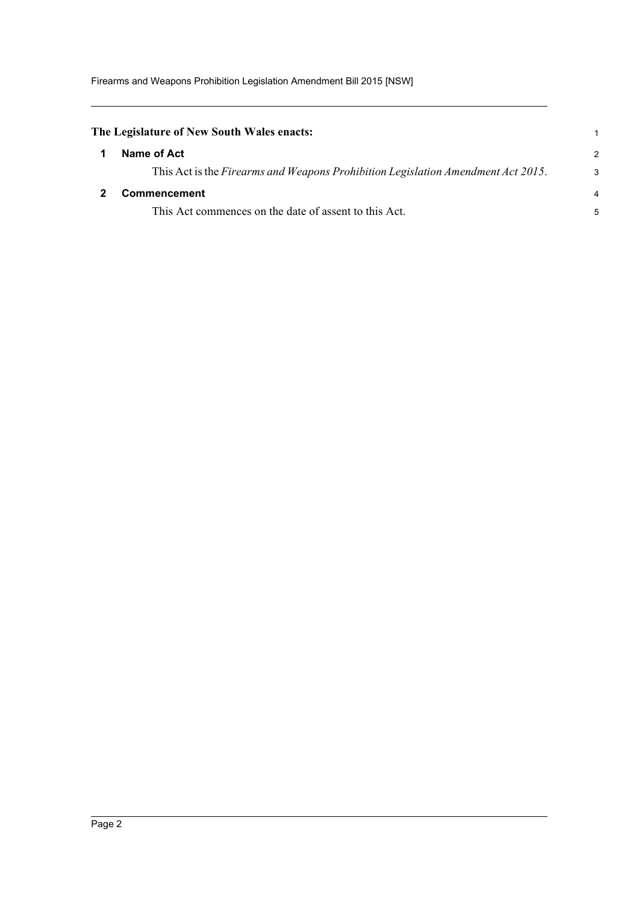<span id="page-5-1"></span><span id="page-5-0"></span>

| The Legislature of New South Wales enacts:                                       |               |
|----------------------------------------------------------------------------------|---------------|
| Name of Act                                                                      | $\mathcal{P}$ |
| This Act is the Firearms and Weapons Prohibition Legislation Amendment Act 2015. | 3             |
| Commencement                                                                     | 4             |
| This Act commences on the date of assent to this Act.                            | 5             |
|                                                                                  |               |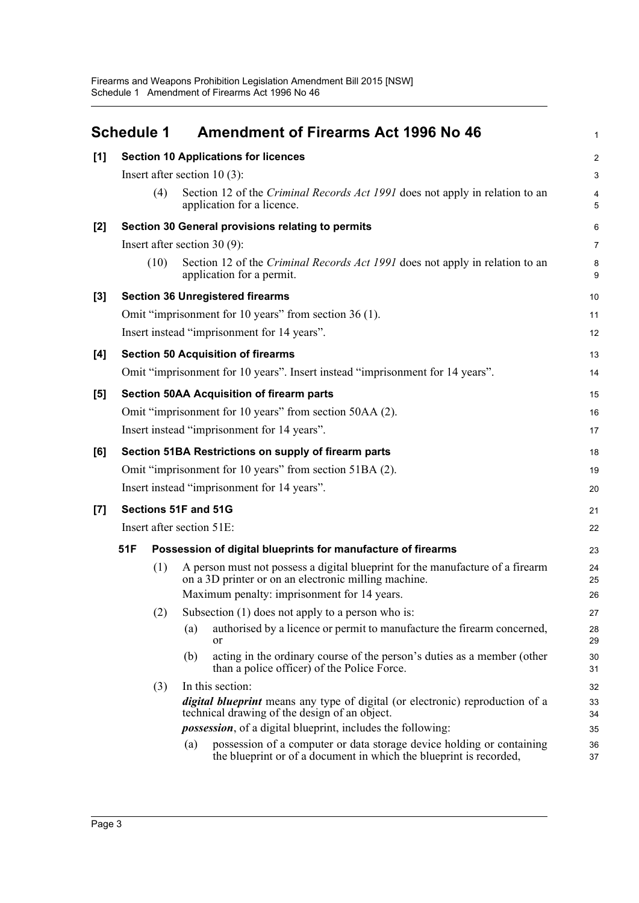<span id="page-6-0"></span>

|       | <b>Schedule 1</b> | <b>Amendment of Firearms Act 1996 No 46</b>                                                                                                        | $\mathbf{1}$   |  |  |  |
|-------|-------------------|----------------------------------------------------------------------------------------------------------------------------------------------------|----------------|--|--|--|
| [1]   |                   | <b>Section 10 Applications for licences</b>                                                                                                        | $\overline{c}$ |  |  |  |
|       |                   | Insert after section $10(3)$ :                                                                                                                     |                |  |  |  |
|       | (4)               | Section 12 of the <i>Criminal Records Act 1991</i> does not apply in relation to an<br>application for a licence.                                  | 4<br>5         |  |  |  |
| $[2]$ |                   | Section 30 General provisions relating to permits                                                                                                  | 6              |  |  |  |
|       |                   | Insert after section $30(9)$ :                                                                                                                     | 7              |  |  |  |
|       | (10)              | Section 12 of the <i>Criminal Records Act 1991</i> does not apply in relation to an<br>application for a permit.                                   | 8<br>9         |  |  |  |
| $[3]$ |                   | <b>Section 36 Unregistered firearms</b>                                                                                                            | 10             |  |  |  |
|       |                   | Omit "imprisonment for 10 years" from section 36 (1).                                                                                              | 11             |  |  |  |
|       |                   | Insert instead "imprisonment for 14 years".                                                                                                        | 12             |  |  |  |
| [4]   |                   | <b>Section 50 Acquisition of firearms</b>                                                                                                          | 13             |  |  |  |
|       |                   | Omit "imprisonment for 10 years". Insert instead "imprisonment for 14 years".                                                                      | 14             |  |  |  |
| [5]   |                   | <b>Section 50AA Acquisition of firearm parts</b>                                                                                                   | 15             |  |  |  |
|       |                   | Omit "imprisonment for 10 years" from section 50AA (2).                                                                                            | 16             |  |  |  |
|       |                   | Insert instead "imprisonment for 14 years".                                                                                                        | 17             |  |  |  |
| [6]   |                   | Section 51BA Restrictions on supply of firearm parts                                                                                               | 18             |  |  |  |
|       |                   | Omit "imprisonment for 10 years" from section 51BA (2).                                                                                            | 19             |  |  |  |
|       |                   | Insert instead "imprisonment for 14 years".                                                                                                        | 20             |  |  |  |
| [7]   |                   | Sections 51F and 51G                                                                                                                               | 21             |  |  |  |
|       |                   | Insert after section 51E:                                                                                                                          | 22             |  |  |  |
|       | 51F               | Possession of digital blueprints for manufacture of firearms                                                                                       | 23             |  |  |  |
|       | (1)               | A person must not possess a digital blueprint for the manufacture of a firearm<br>on a 3D printer or on an electronic milling machine.             | 24<br>25       |  |  |  |
|       |                   | Maximum penalty: imprisonment for 14 years.                                                                                                        | 26             |  |  |  |
|       | (2)               | Subsection $(1)$ does not apply to a person who is:                                                                                                | 27             |  |  |  |
|       |                   | authorised by a licence or permit to manufacture the firearm concerned,<br>(a)<br>or                                                               | 28<br>29       |  |  |  |
|       |                   | acting in the ordinary course of the person's duties as a member (other<br>(b)<br>than a police officer) of the Police Force.                      | 30<br>31       |  |  |  |
|       | (3)               | In this section:                                                                                                                                   | 32             |  |  |  |
|       |                   | <i>digital blueprint</i> means any type of digital (or electronic) reproduction of a<br>technical drawing of the design of an object.              | 33<br>34       |  |  |  |
|       |                   | <i>possession</i> , of a digital blueprint, includes the following:                                                                                | 35             |  |  |  |
|       |                   | possession of a computer or data storage device holding or containing<br>(a)<br>the blueprint or of a document in which the blueprint is recorded, | 36<br>37       |  |  |  |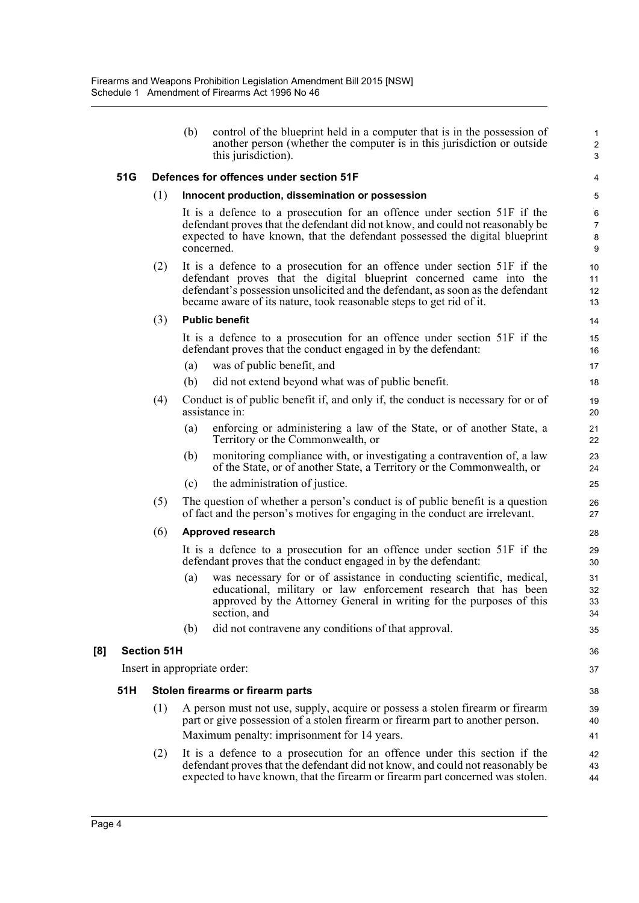|     |     |                    | (b) | control of the blueprint held in a computer that is in the possession of<br>another person (whether the computer is in this jurisdiction or outside<br>this jurisdiction).                                                                                                                               | $\mathbf{1}$<br>$\overline{c}$<br>3 |
|-----|-----|--------------------|-----|----------------------------------------------------------------------------------------------------------------------------------------------------------------------------------------------------------------------------------------------------------------------------------------------------------|-------------------------------------|
|     | 51G |                    |     | Defences for offences under section 51F                                                                                                                                                                                                                                                                  | 4                                   |
|     |     | (1)                |     | Innocent production, dissemination or possession                                                                                                                                                                                                                                                         | 5                                   |
|     |     |                    |     | It is a defence to a prosecution for an offence under section 51F if the<br>defendant proves that the defendant did not know, and could not reasonably be<br>expected to have known, that the defendant possessed the digital blueprint<br>concerned.                                                    | 6<br>$\overline{7}$<br>8<br>9       |
|     |     | (2)                |     | It is a defence to a prosecution for an offence under section 51F if the<br>defendant proves that the digital blueprint concerned came into the<br>defendant's possession unsolicited and the defendant, as soon as the defendant<br>became aware of its nature, took reasonable steps to get rid of it. | 10<br>11<br>12<br>13                |
|     |     | (3)                |     | <b>Public benefit</b>                                                                                                                                                                                                                                                                                    | 14                                  |
|     |     |                    |     | It is a defence to a prosecution for an offence under section 51F if the<br>defendant proves that the conduct engaged in by the defendant:                                                                                                                                                               | 15<br>16                            |
|     |     |                    | (a) | was of public benefit, and                                                                                                                                                                                                                                                                               | 17                                  |
|     |     |                    | (b) | did not extend beyond what was of public benefit.                                                                                                                                                                                                                                                        | 18                                  |
|     |     | (4)                |     | Conduct is of public benefit if, and only if, the conduct is necessary for or of<br>assistance in:                                                                                                                                                                                                       | 19<br>20                            |
|     |     |                    | (a) | enforcing or administering a law of the State, or of another State, a<br>Territory or the Commonwealth, or                                                                                                                                                                                               | 21<br>22                            |
|     |     |                    | (b) | monitoring compliance with, or investigating a contravention of, a law<br>of the State, or of another State, a Territory or the Commonwealth, or                                                                                                                                                         | 23<br>24                            |
|     |     |                    | (c) | the administration of justice.                                                                                                                                                                                                                                                                           | 25                                  |
|     |     | (5)                |     | The question of whether a person's conduct is of public benefit is a question<br>of fact and the person's motives for engaging in the conduct are irrelevant.                                                                                                                                            | 26<br>27                            |
|     |     | (6)                |     | Approved research                                                                                                                                                                                                                                                                                        | 28                                  |
|     |     |                    |     | It is a defence to a prosecution for an offence under section 51F if the<br>defendant proves that the conduct engaged in by the defendant:                                                                                                                                                               | 29<br>30                            |
|     |     |                    | (a) | was necessary for or of assistance in conducting scientific, medical,<br>educational, military or law enforcement research that has been<br>approved by the Attorney General in writing for the purposes of this<br>section, and                                                                         | 31<br>32<br>33<br>34                |
|     |     |                    | (b) | did not contravene any conditions of that approval.                                                                                                                                                                                                                                                      | 35                                  |
| [8] |     | <b>Section 51H</b> |     |                                                                                                                                                                                                                                                                                                          | 36                                  |
|     |     |                    |     | Insert in appropriate order:                                                                                                                                                                                                                                                                             | 37                                  |
|     | 51H |                    |     | Stolen firearms or firearm parts                                                                                                                                                                                                                                                                         | 38                                  |
|     |     | (1)                |     | A person must not use, supply, acquire or possess a stolen firearm or firearm<br>part or give possession of a stolen firearm or firearm part to another person.                                                                                                                                          | 39<br>40                            |
|     |     |                    |     | Maximum penalty: imprisonment for 14 years.                                                                                                                                                                                                                                                              | 41                                  |
|     |     | (2)                |     | It is a defence to a prosecution for an offence under this section if the<br>defendant proves that the defendant did not know, and could not reasonably be<br>expected to have known, that the firearm or firearm part concerned was stolen.                                                             | 42<br>43<br>44                      |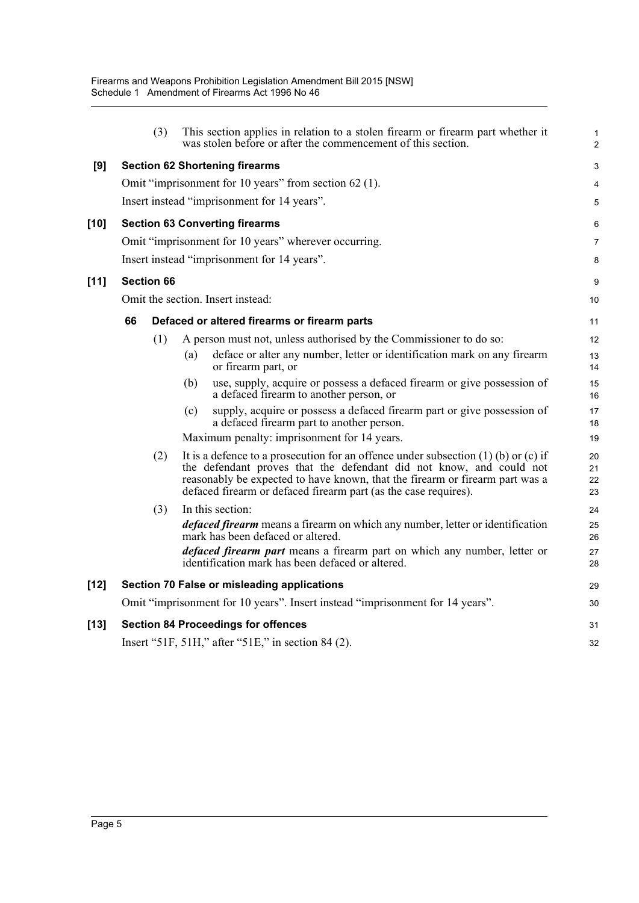|        |    | (3)               |     | This section applies in relation to a stolen firearm or firearm part whether it<br>was stolen before or after the commencement of this section.                                                                                                                                                                  | $\mathbf{1}$<br>2    |
|--------|----|-------------------|-----|------------------------------------------------------------------------------------------------------------------------------------------------------------------------------------------------------------------------------------------------------------------------------------------------------------------|----------------------|
| [9]    |    |                   |     | <b>Section 62 Shortening firearms</b>                                                                                                                                                                                                                                                                            | 3                    |
|        |    |                   |     | Omit "imprisonment for 10 years" from section 62 (1).                                                                                                                                                                                                                                                            | 4                    |
|        |    |                   |     | Insert instead "imprisonment for 14 years".                                                                                                                                                                                                                                                                      | 5                    |
| $[10]$ |    |                   |     | <b>Section 63 Converting firearms</b>                                                                                                                                                                                                                                                                            | 6                    |
|        |    |                   |     | Omit "imprisonment for 10 years" wherever occurring.                                                                                                                                                                                                                                                             | $\overline{7}$       |
|        |    |                   |     | Insert instead "imprisonment for 14 years".                                                                                                                                                                                                                                                                      | 8                    |
| [11]   |    | <b>Section 66</b> |     |                                                                                                                                                                                                                                                                                                                  | 9                    |
|        |    |                   |     | Omit the section. Insert instead:                                                                                                                                                                                                                                                                                | 10                   |
|        | 66 |                   |     | Defaced or altered firearms or firearm parts                                                                                                                                                                                                                                                                     | 11                   |
|        |    | (1)               |     | A person must not, unless authorised by the Commissioner to do so:                                                                                                                                                                                                                                               | 12                   |
|        |    |                   | (a) | deface or alter any number, letter or identification mark on any firearm<br>or firearm part, or                                                                                                                                                                                                                  | 13<br>14             |
|        |    |                   | (b) | use, supply, acquire or possess a defaced firearm or give possession of<br>a defaced firearm to another person, or                                                                                                                                                                                               | 15<br>16             |
|        |    |                   | (c) | supply, acquire or possess a defaced firearm part or give possession of<br>a defaced firearm part to another person.                                                                                                                                                                                             | 17<br>18             |
|        |    |                   |     | Maximum penalty: imprisonment for 14 years.                                                                                                                                                                                                                                                                      | 19                   |
|        |    | (2)               |     | It is a defence to a prosecution for an offence under subsection $(1)$ (b) or $(c)$ if<br>the defendant proves that the defendant did not know, and could not<br>reasonably be expected to have known, that the firearm or firearm part was a<br>defaced firearm or defaced firearm part (as the case requires). | 20<br>21<br>22<br>23 |
|        |    | (3)               |     | In this section:                                                                                                                                                                                                                                                                                                 | 24                   |
|        |    |                   |     | <i>defaced firearm</i> means a firearm on which any number, letter or identification<br>mark has been defaced or altered.                                                                                                                                                                                        | 25<br>26             |
|        |    |                   |     | <i>defaced firearm part</i> means a firearm part on which any number, letter or<br>identification mark has been defaced or altered.                                                                                                                                                                              | 27<br>28             |
| $[12]$ |    |                   |     | Section 70 False or misleading applications                                                                                                                                                                                                                                                                      | 29                   |
|        |    |                   |     | Omit "imprisonment for 10 years". Insert instead "imprisonment for 14 years".                                                                                                                                                                                                                                    | 30                   |
| $[13]$ |    |                   |     | <b>Section 84 Proceedings for offences</b>                                                                                                                                                                                                                                                                       | 31                   |
|        |    |                   |     | Insert "51F, 51H," after "51E," in section 84 (2).                                                                                                                                                                                                                                                               | 32                   |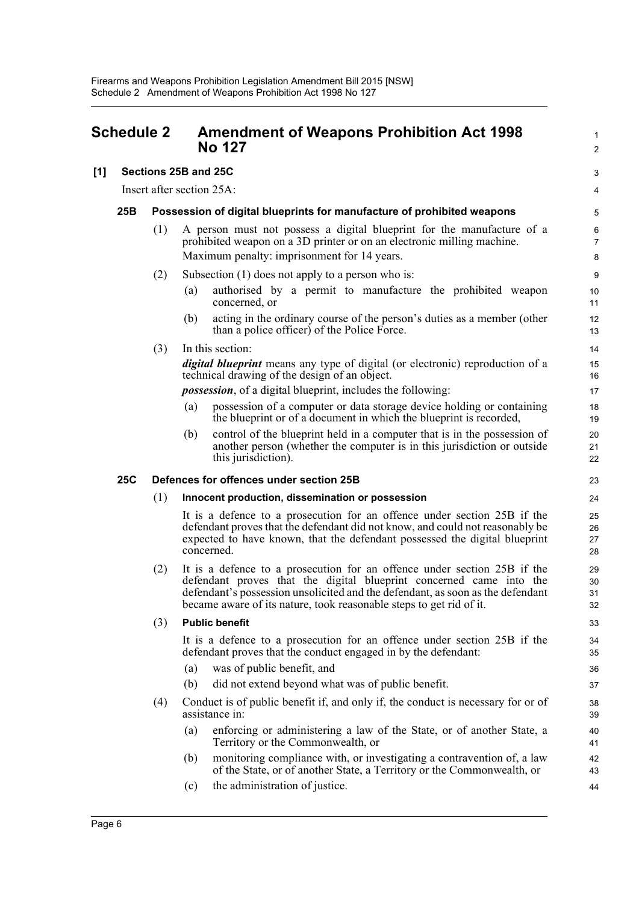<span id="page-9-0"></span>

| <b>Schedule 2</b> |            |     | <b>Amendment of Weapons Prohibition Act 1998</b><br><b>No 127</b>                                                                                                                                                                                                                                        |                      |
|-------------------|------------|-----|----------------------------------------------------------------------------------------------------------------------------------------------------------------------------------------------------------------------------------------------------------------------------------------------------------|----------------------|
| [1]               |            |     | Sections 25B and 25C                                                                                                                                                                                                                                                                                     | 3                    |
|                   |            |     | Insert after section 25A:                                                                                                                                                                                                                                                                                | 4                    |
|                   | 25B        |     | Possession of digital blueprints for manufacture of prohibited weapons                                                                                                                                                                                                                                   | 5                    |
|                   |            | (1) | A person must not possess a digital blueprint for the manufacture of a<br>prohibited weapon on a 3D printer or on an electronic milling machine.                                                                                                                                                         | 6<br>$\overline{7}$  |
|                   |            |     | Maximum penalty: imprisonment for 14 years.                                                                                                                                                                                                                                                              | 8                    |
|                   |            | (2) | Subsection $(1)$ does not apply to a person who is:                                                                                                                                                                                                                                                      | 9                    |
|                   |            |     | authorised by a permit to manufacture the prohibited weapon<br>(a)<br>concerned, or                                                                                                                                                                                                                      | 10<br>11             |
|                   |            |     | acting in the ordinary course of the person's duties as a member (other<br>(b)<br>than a police officer) of the Police Force.                                                                                                                                                                            | 12<br>13             |
|                   |            | (3) | In this section:                                                                                                                                                                                                                                                                                         | 14                   |
|                   |            |     | digital blueprint means any type of digital (or electronic) reproduction of a<br>technical drawing of the design of an object.                                                                                                                                                                           | 15<br>16             |
|                   |            |     | <i>possession</i> , of a digital blueprint, includes the following:                                                                                                                                                                                                                                      | 17                   |
|                   |            |     | possession of a computer or data storage device holding or containing<br>(a)<br>the blueprint or of a document in which the blueprint is recorded,                                                                                                                                                       | 18<br>19             |
|                   |            |     | control of the blueprint held in a computer that is in the possession of<br>(b)<br>another person (whether the computer is in this jurisdiction or outside<br>this jurisdiction).                                                                                                                        | 20<br>21<br>22       |
|                   | <b>25C</b> |     | Defences for offences under section 25B                                                                                                                                                                                                                                                                  | 23                   |
|                   |            | (1) | Innocent production, dissemination or possession                                                                                                                                                                                                                                                         | 24                   |
|                   |            |     | It is a defence to a prosecution for an offence under section 25B if the<br>defendant proves that the defendant did not know, and could not reasonably be<br>expected to have known, that the defendant possessed the digital blueprint<br>concerned.                                                    | 25<br>26<br>27<br>28 |
|                   |            | (2) | It is a defence to a prosecution for an offence under section 25B if the<br>defendant proves that the digital blueprint concerned came into the<br>defendant's possession unsolicited and the defendant, as soon as the defendant<br>became aware of its nature, took reasonable steps to get rid of it. | 29<br>30<br>31<br>32 |
|                   |            | (3) | <b>Public benefit</b>                                                                                                                                                                                                                                                                                    | 33                   |
|                   |            |     | It is a defence to a prosecution for an offence under section 25B if the<br>defendant proves that the conduct engaged in by the defendant:                                                                                                                                                               | 34<br>35             |
|                   |            |     | was of public benefit, and<br>(a)                                                                                                                                                                                                                                                                        | 36                   |
|                   |            |     | did not extend beyond what was of public benefit.<br>(b)                                                                                                                                                                                                                                                 | 37                   |
|                   |            | (4) | Conduct is of public benefit if, and only if, the conduct is necessary for or of<br>assistance in:                                                                                                                                                                                                       | 38<br>39             |
|                   |            |     | enforcing or administering a law of the State, or of another State, a<br>(a)<br>Territory or the Commonwealth, or                                                                                                                                                                                        | 40<br>41             |
|                   |            |     | monitoring compliance with, or investigating a contravention of, a law<br>(b)<br>of the State, or of another State, a Territory or the Commonwealth, or                                                                                                                                                  | 42<br>43             |

44

(c) the administration of justice.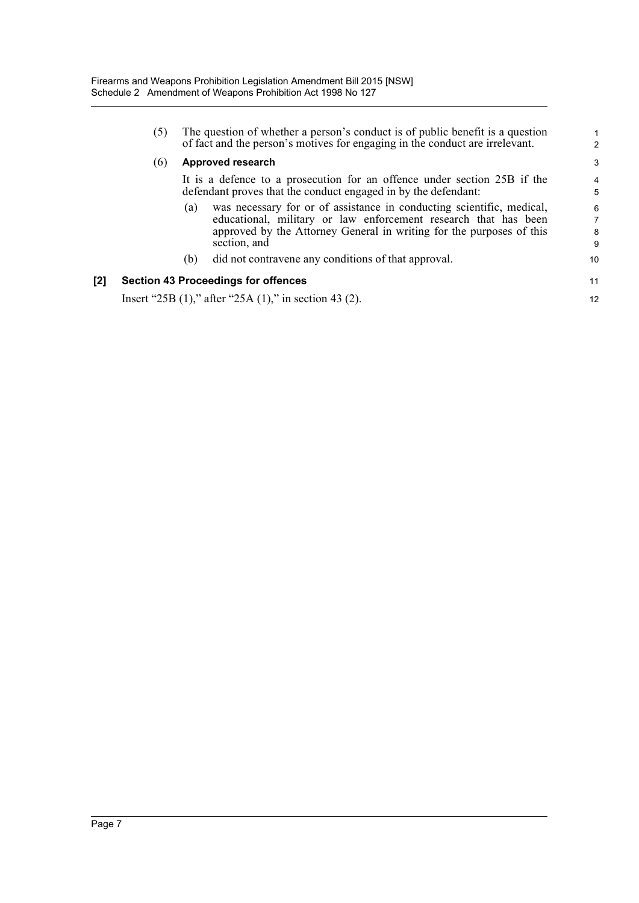|     | (5) |     | The question of whether a person's conduct is of public benefit is a question<br>of fact and the person's motives for engaging in the conduct are irrelevant.                                                                    | $\mathbf{1}$<br>$\mathcal{P}$ |
|-----|-----|-----|----------------------------------------------------------------------------------------------------------------------------------------------------------------------------------------------------------------------------------|-------------------------------|
|     | (6) |     | Approved research                                                                                                                                                                                                                | 3                             |
|     |     |     | It is a defence to a prosecution for an offence under section 25B if the<br>defendant proves that the conduct engaged in by the defendant:                                                                                       | $\overline{4}$<br>5           |
|     |     | (a) | was necessary for or of assistance in conducting scientific, medical,<br>educational, military or law enforcement research that has been<br>approved by the Attorney General in writing for the purposes of this<br>section, and | 6<br>$\overline{7}$<br>8<br>9 |
|     |     | (b) | did not contravene any conditions of that approval.                                                                                                                                                                              | 10                            |
| [2] |     |     | <b>Section 43 Proceedings for offences</b>                                                                                                                                                                                       | 11                            |
|     |     |     | Insert "25B (1)," after "25A (1)," in section 43 (2).                                                                                                                                                                            | 12                            |
|     |     |     |                                                                                                                                                                                                                                  |                               |